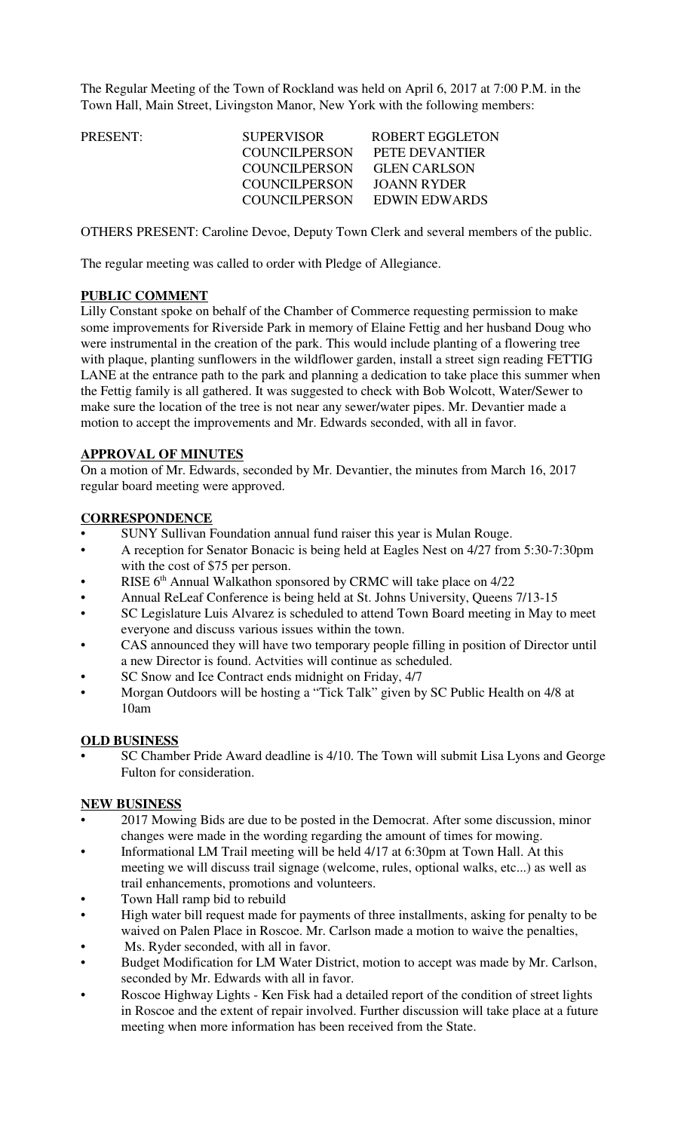The Regular Meeting of the Town of Rockland was held on April 6, 2017 at 7:00 P.M. in the Town Hall, Main Street, Livingston Manor, New York with the following members:

| PRESENT: | <b>SUPERVISOR</b>    | <b>ROBERT EGGLETON</b> |
|----------|----------------------|------------------------|
|          | <b>COUNCILPERSON</b> | PETE DEVANTIER         |
|          | COUNCIL PERSON       | <b>GLEN CARLSON</b>    |
|          | <b>COUNCILPERSON</b> | JOANN RYDER            |
|          | COUNCILPERSON        | EDWIN EDWARDS          |
|          |                      |                        |

OTHERS PRESENT: Caroline Devoe, Deputy Town Clerk and several members of the public.

The regular meeting was called to order with Pledge of Allegiance.

## **PUBLIC COMMENT**

Lilly Constant spoke on behalf of the Chamber of Commerce requesting permission to make some improvements for Riverside Park in memory of Elaine Fettig and her husband Doug who were instrumental in the creation of the park. This would include planting of a flowering tree with plaque, planting sunflowers in the wildflower garden, install a street sign reading FETTIG LANE at the entrance path to the park and planning a dedication to take place this summer when the Fettig family is all gathered. It was suggested to check with Bob Wolcott, Water/Sewer to make sure the location of the tree is not near any sewer/water pipes. Mr. Devantier made a motion to accept the improvements and Mr. Edwards seconded, with all in favor.

### **APPROVAL OF MINUTES**

On a motion of Mr. Edwards, seconded by Mr. Devantier, the minutes from March 16, 2017 regular board meeting were approved.

### **CORRESPONDENCE**

- SUNY Sullivan Foundation annual fund raiser this year is Mulan Rouge.
- A reception for Senator Bonacic is being held at Eagles Nest on 4/27 from 5:30-7:30pm with the cost of \$75 per person.
- $RISE 6<sup>th</sup>$  Annual Walkathon sponsored by CRMC will take place on  $4/22$
- Annual ReLeaf Conference is being held at St. Johns University, Queens 7/13-15
- SC Legislature Luis Alvarez is scheduled to attend Town Board meeting in May to meet everyone and discuss various issues within the town.
- CAS announced they will have two temporary people filling in position of Director until a new Director is found. Actvities will continue as scheduled.
- SC Snow and Ice Contract ends midnight on Friday, 4/7
- Morgan Outdoors will be hosting a "Tick Talk" given by SC Public Health on 4/8 at 10am

## **OLD BUSINESS**

• SC Chamber Pride Award deadline is 4/10. The Town will submit Lisa Lyons and George Fulton for consideration.

## **NEW BUSINESS**

- 2017 Mowing Bids are due to be posted in the Democrat. After some discussion, minor changes were made in the wording regarding the amount of times for mowing.
- Informational LM Trail meeting will be held 4/17 at 6:30pm at Town Hall. At this meeting we will discuss trail signage (welcome, rules, optional walks, etc...) as well as trail enhancements, promotions and volunteers.
- Town Hall ramp bid to rebuild
- High water bill request made for payments of three installments, asking for penalty to be waived on Palen Place in Roscoe. Mr. Carlson made a motion to waive the penalties,
- Ms. Ryder seconded, with all in favor.
- Budget Modification for LM Water District, motion to accept was made by Mr. Carlson, seconded by Mr. Edwards with all in favor.
- Roscoe Highway Lights Ken Fisk had a detailed report of the condition of street lights in Roscoe and the extent of repair involved. Further discussion will take place at a future meeting when more information has been received from the State.